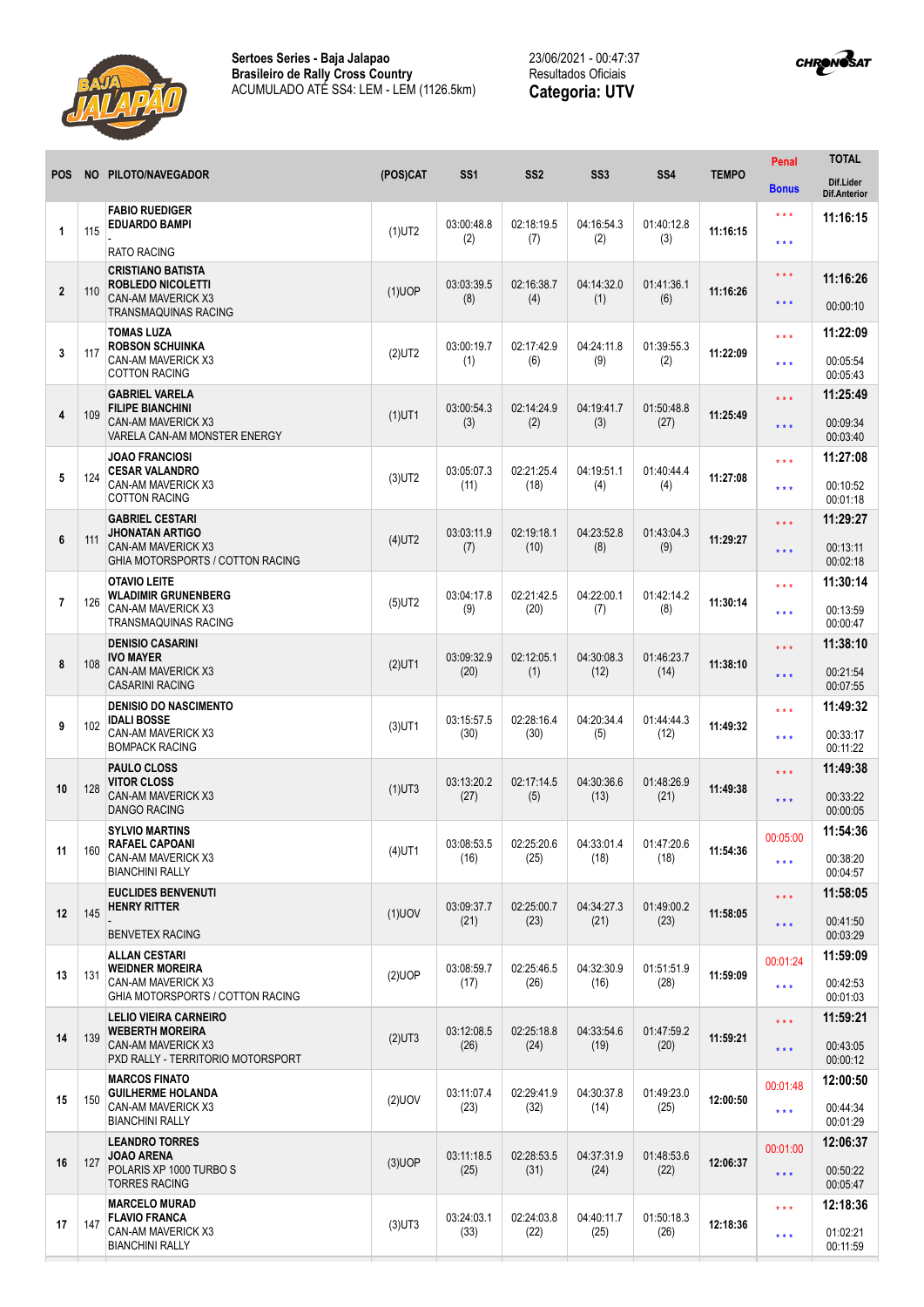



|                |     |                                                                                                               |           |                    |                    |                    |                    |              | Penal               | <b>TOTAL</b>                     |
|----------------|-----|---------------------------------------------------------------------------------------------------------------|-----------|--------------------|--------------------|--------------------|--------------------|--------------|---------------------|----------------------------------|
| <b>POS</b>     |     | NO PILOTO/NAVEGADOR                                                                                           | (POS)CAT  | SS <sub>1</sub>    | SS <sub>2</sub>    | SS <sub>3</sub>    | SS <sub>4</sub>    | <b>TEMPO</b> | <b>Bonus</b>        | Dif.Lider<br><b>Dif.Anterior</b> |
|                |     | <b>FABIO RUEDIGER</b>                                                                                         |           |                    |                    |                    |                    |              | $***$               | 11:16:15                         |
| 1              | 115 | <b>EDUARDO BAMPI</b><br><b>RATO RACING</b>                                                                    | $(1)$ UT2 | 03:00:48.8<br>(2)  | 02:18:19.5<br>(7)  | 04:16:54.3<br>(2)  | 01:40:12.8<br>(3)  | 11:16:15     | * * *               |                                  |
|                |     | <b>CRISTIANO BATISTA</b>                                                                                      |           |                    |                    |                    |                    |              | * * *               | 11:16:26                         |
| $\overline{2}$ | 110 | <b>ROBLEDO NICOLETTI</b><br><b>CAN-AM MAVERICK X3</b><br><b>TRANSMAQUINAS RACING</b>                          | $(1)$ UOP | 03:03:39.5<br>(8)  | 02:16:38.7<br>(4)  | 04:14:32.0<br>(1)  | 01:41:36.1<br>(6)  | 11:16:26     | * * *               | 00:00:10                         |
|                |     | <b>TOMAS LUZA</b>                                                                                             |           |                    |                    |                    |                    |              | * * *               | 11:22:09                         |
| 3              | 117 | <b>ROBSON SCHUINKA</b><br>CAN-AM MAVERICK X3<br><b>COTTON RACING</b>                                          | $(2)$ UT2 | 03:00:19.7<br>(1)  | 02:17:42.9<br>(6)  | 04:24:11.8<br>(9)  | 01:39:55.3<br>(2)  | 11:22:09     | * * *               | 00:05:54<br>00:05:43             |
|                |     | <b>GABRIEL VARELA</b>                                                                                         |           |                    |                    |                    |                    |              | * * *               | 11:25:49                         |
| 4              | 109 | <b>FILIPE BIANCHINI</b><br><b>CAN-AM MAVERICK X3</b><br>VARELA CAN-AM MONSTER ENERGY                          | $(1)$ UT1 | 03:00:54.3<br>(3)  | 02:14:24.9<br>(2)  | 04:19:41.7<br>(3)  | 01:50:48.8<br>(27) | 11:25:49     | $* * *$             | 00:09:34<br>00:03:40             |
|                |     | <b>JOAO FRANCIOSI</b>                                                                                         |           |                    |                    |                    |                    |              | * * *               | 11:27:08                         |
| 5              | 124 | <b>CESAR VALANDRO</b><br>CAN-AM MAVERICK X3<br><b>COTTON RACING</b>                                           | $(3)$ UT2 | 03:05:07.3<br>(11) | 02:21:25.4<br>(18) | 04:19:51.1<br>(4)  | 01:40:44.4<br>(4)  | 11:27:08     | * * *               | 00:10:52<br>00:01:18             |
|                |     | <b>GABRIEL CESTARI</b>                                                                                        |           |                    |                    |                    |                    |              | * * *               | 11:29:27                         |
| 6              | 111 | <b>JHONATAN ARTIGO</b><br><b>CAN-AM MAVERICK X3</b><br>GHIA MOTORSPORTS / COTTON RACING                       | $(4)$ UT2 | 03:03:11.9<br>(7)  | 02:19:18.1<br>(10) | 04:23:52.8<br>(8)  | 01:43:04.3<br>(9)  | 11:29:27     | * * *               | 00:13:11<br>00:02:18             |
|                |     | <b>OTAVIO LEITE</b><br><b>WLADIMIR GRUNENBERG</b><br><b>CAN-AM MAVERICK X3</b><br><b>TRANSMAQUINAS RACING</b> |           |                    | 02:21:42.5         |                    | 01:42:14.2<br>(8)  | 11:30:14     | * * *               | 11:30:14                         |
| $\overline{7}$ | 126 |                                                                                                               | $(5)$ UT2 | 03:04:17.8<br>(9)  | (20)               | 04:22:00.1<br>(7)  |                    |              | * * *               | 00:13:59<br>00:00:47             |
|                |     | <b>DENISIO CASARINI</b><br><b>IVO MAYER</b><br><b>CAN-AM MAVERICK X3</b><br><b>CASARINI RACING</b>            | $(2)$ UT1 | 03:09:32.9<br>(20) | 02:12:05.1         | 04:30:08.3<br>(12) | 01:46:23.7<br>(14) | 11:38:10     | * * *               | 11:38:10                         |
| 8              | 108 |                                                                                                               |           |                    | (1)                |                    |                    |              | * * *               | 00:21:54<br>00:07:55             |
|                |     | <b>DENISIO DO NASCIMENTO</b><br><b>IDALI BOSSE</b>                                                            |           | 03:15:57.5         | 02:28:16.4         | 04:20:34.4         | 01:44:44.3         |              | * * *               | 11:49:32                         |
| 9              | 102 | CAN-AM MAVERICK X3<br><b>BOMPACK RACING</b>                                                                   | $(3)$ UT1 | (30)               | (30)               | (5)                | (12)               | 11:49:32     | * * *               | 00:33:17<br>00:11:22             |
|                | 128 | <b>PAULO CLOSS</b><br><b>VITOR CLOSS</b><br>CAN-AM MAVERICK X3<br><b>DANGO RACING</b>                         | $(1)$ UT3 | 03:13:20.2<br>(27) | 02:17:14.5         | 04:30:36.6<br>(13) | 01:48:26.9<br>(21) | 11:49:38     | * * *               | 11:49:38                         |
| 10             |     |                                                                                                               |           |                    | (5)                |                    |                    |              | * * *               | 00:33:22<br>00:00:05             |
| 11             | 160 | <b>SYLVIO MARTINS</b><br><b>RAFAEL CAPOANI</b><br>CAN-AM MAVERICK X3<br><b>BIANCHINI RALLY</b>                | $(4)$ UT1 | 03:08:53.5<br>(16) | 02:25:20.6<br>(25) | 04:33:01.4<br>(18) | 01:47:20.6<br>(18) | 11:54:36     | 00:05:00            | 11:54:36                         |
|                |     |                                                                                                               |           |                    |                    |                    |                    |              | $***$               | 00:38:20<br>00:04:57             |
|                |     | <b>EUCLIDES BENVENUTI</b><br><b>HENRY RITTER</b>                                                              |           | 03:09:37.7         | 02:25:00.7         | 04:34:27.3         | 01:49:00.2         |              | $\star \star \star$ | 11:58:05                         |
| 12             | 145 |                                                                                                               | $(1)$ UOV | (21)               | (23)               | (21)               | (23)               | 11:58:05     | $* * *$             | 00:41:50                         |
|                |     | <b>BENVETEX RACING</b><br><b>ALLAN CESTARI</b>                                                                |           |                    |                    |                    |                    |              |                     | 00:03:29<br>11:59:09             |
| 13             | 131 | <b>WEIDNER MOREIRA</b><br>CAN-AM MAVERICK X3<br>GHIA MOTORSPORTS / COTTON RACING                              | $(2)$ UOP | 03:08:59.7<br>(17) | 02:25:46.5<br>(26) | 04:32:30.9<br>(16) | 01:51:51.9<br>(28) | 11:59:09     | 00:01:24<br>$***$   | 00:42:53<br>00:01:03             |
|                |     | <b>LELIO VIEIRA CARNEIRO</b>                                                                                  |           |                    |                    |                    |                    |              | $***$               | 11:59:21                         |
| 14             | 139 | <b>WEBERTH MOREIRA</b><br>CAN-AM MAVERICK X3<br>PXD RALLY - TERRITORIO MOTORSPORT                             | $(2)$ UT3 | 03:12:08.5<br>(26) | 02:25:18.8<br>(24) | 04:33:54.6<br>(19) | 01:47:59.2<br>(20) | 11:59:21     | * * *               | 00:43:05<br>00:00:12             |
| 15             | 150 | <b>MARCOS FINATO</b><br><b>GUILHERME HOLANDA</b><br>CAN-AM MAVERICK X3<br><b>BIANCHINI RALLY</b>              | $(2)$ UOV | 03:11:07.4<br>(23) | 02:29:41.9<br>(32) | 04:30:37.8<br>(14) | 01:49:23.0<br>(25) | 12:00:50     | 00:01:48            | 12:00:50                         |
|                |     |                                                                                                               |           |                    |                    |                    |                    |              | $\star \star \star$ | 00:44:34<br>00:01:29             |
| 16             |     | <b>LEANDRO TORRES</b><br><b>JOAO ARENA</b><br>POLARIS XP 1000 TURBO S<br><b>TORRES RACING</b>                 | $(3)$ UOP | 03:11:18.5<br>(25) | 02:28:53.5<br>(31) | 04:37:31.9<br>(24) | 01:48:53.6<br>(22) | 12:06:37     | 00:01:00            | 12:06:37                         |
|                | 127 |                                                                                                               |           |                    |                    |                    |                    |              | $***$               | 00:50:22<br>00:05:47             |
|                |     | <b>MARCELO MURAD</b><br><b>FLAVIO FRANCA</b>                                                                  |           | 03:24:03.1         | 02:24:03.8         | 04:40:11.7         | 01:50:18.3         |              | * * *               | 12:18:36                         |
| 17             | 147 | CAN-AM MAVERICK X3                                                                                            | $(3)$ UT3 | (33)               | (22)               | (25)               | (26)               | 12:18:36     | $***$               | 01:02:21                         |
|                |     | <b>BIANCHINI RALLY</b>                                                                                        |           |                    |                    |                    |                    |              |                     | 00:11:59                         |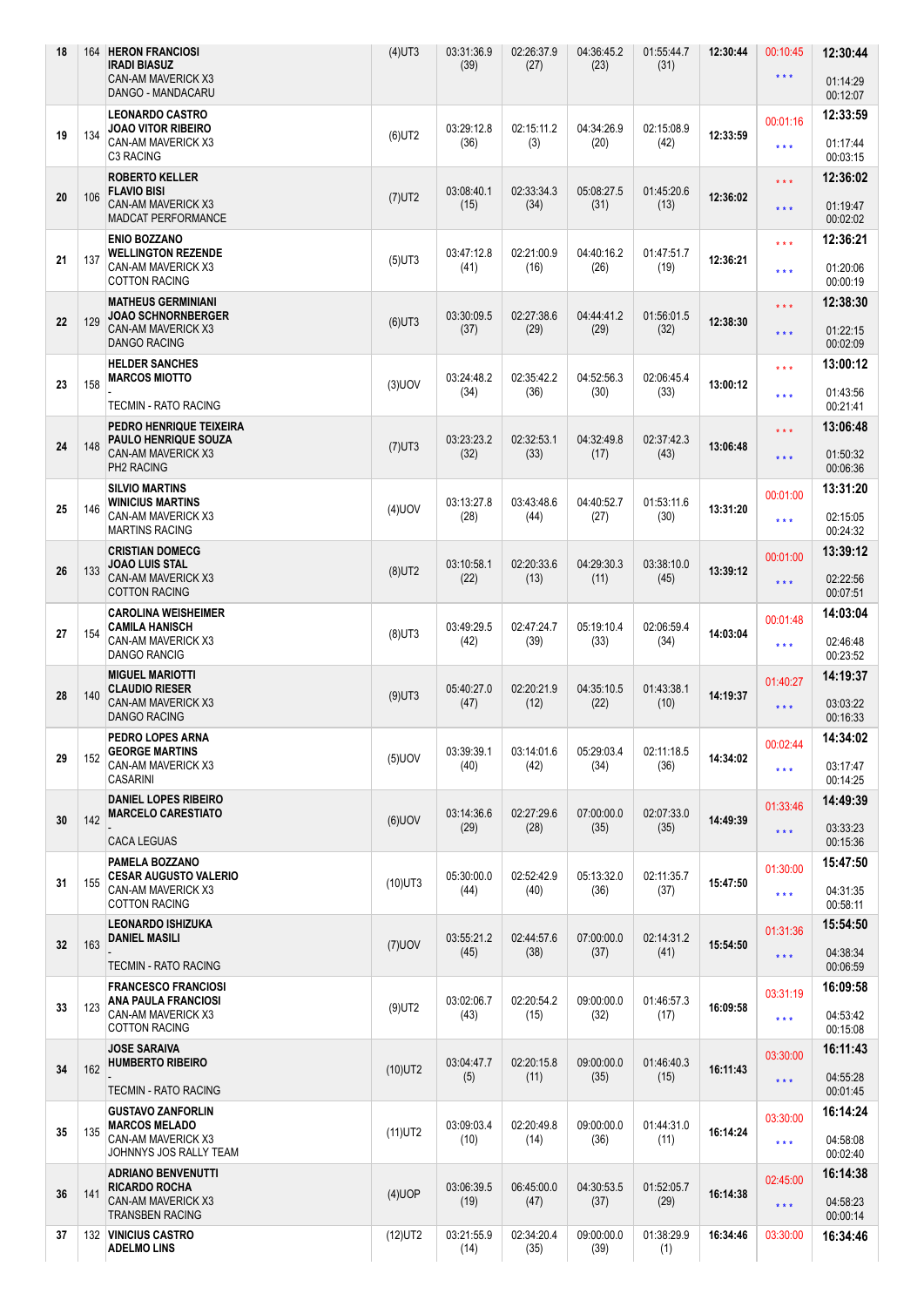| <b>LEONARDO CASTRO</b><br>12:33:59<br>00:01:16<br>JOAO VITOR RIBEIRO<br>03:29:12.8<br>02:15:11.2<br>04:34:26.9<br>02:15:08.9<br>19<br>$(6)$ UT2<br>12:33:59<br>134<br>CAN-AM MAVERICK X3<br>(42)<br>(36)<br>(3)<br>(20)<br>01:17:44<br>$\star\star\star$<br>C3 RACING<br>00:03:15<br><b>ROBERTO KELLER</b><br>12:36:02<br>$***$<br><b>FLAVIO BISI</b><br>03:08:40.1<br>02:33:34.3<br>05:08:27.5<br>01:45:20.6<br>20<br>106<br>$(7)$ UT2<br>12:36:02<br>CAN-AM MAVERICK X3<br>(31)<br>(13)<br>(15)<br>(34)<br>01:19:47<br>$***$<br><b>MADCAT PERFORMANCE</b><br>00:02:02<br><b>ENIO BOZZANO</b><br>12:36:21<br>$\star \star \star$<br><b>WELLINGTON REZENDE</b><br>03:47:12.8<br>02:21:00.9<br>04:40:16.2<br>01:47:51.7<br>21<br>137<br>12:36:21<br>$(5)$ UT3<br>CAN-AM MAVERICK X3<br>(26)<br>(19)<br>01:20:06<br>(41)<br>(16)<br>$***$<br><b>COTTON RACING</b><br>00:00:19<br><b>MATHEUS GERMINIANI</b><br>12:38:30<br>$***$<br><b>JOAO SCHNORNBERGER</b><br>03:30:09.5<br>02:27:38.6<br>04:44:41.2<br>01:56:01.5<br>22<br>129<br>$(6)$ UT3<br>12:38:30<br><b>CAN-AM MAVERICK X3</b><br>(29)<br>(29)<br>(32)<br>(37)<br>01:22:15<br>$***$<br><b>DANGO RACING</b><br>00:02:09<br><b>HELDER SANCHES</b><br>13:00:12<br>$***$<br>03:24:48.2<br>02:35:42.2<br>04:52:56.3<br>02:06:45.4<br><b>MARCOS MIOTTO</b><br>23<br>158<br>$(3)$ UOV<br>13:00:12<br>(36)<br>(33)<br>(34)<br>(30)<br>01:43:56<br>$***$<br><b>TECMIN - RATO RACING</b><br>00:21:41<br>13:06:48<br>PEDRO HENRIQUE TEIXEIRA<br>$\star\star\star$<br>03:23:23.2<br>02:32:53.1<br>04:32:49.8<br>02:37:42.3<br><b>PAULO HENRIQUE SOUZA</b><br>24<br>148<br>$(7)$ UT3<br>13:06:48<br>CAN-AM MAVERICK X3<br>(32)<br>(33)<br>(43)<br>(17)<br>01:50:32<br>$***$<br>PH2 RACING<br>00:06:36<br><b>SILVIO MARTINS</b><br>13:31:20<br>00:01:00<br><b>WINICIUS MARTINS</b><br>03:13:27.8<br>03:43:48.6<br>04:40:52.7<br>01:53:11.6<br>25<br>$(4)$ UOV<br>13:31:20<br>146<br>CAN-AM MAVERICK X3<br>(28)<br>(27)<br>(30)<br>(44)<br>02:15:05<br>$\star\star\star$<br><b>MARTINS RACING</b><br>00:24:32<br>13:39:12<br><b>CRISTIAN DOMECG</b><br>00:01:00<br>03:10:58.1<br>02:20:33.6<br>04:29:30.3<br>03:38:10.0<br>JOAO LUIS STAL<br>26<br>133<br>$(8)$ UT2<br>13:39:12<br><b>CAN-AM MAVERICK X3</b><br>(22)<br>(13)<br>(11)<br>(45)<br>02:22:56<br>$\star\star\star$<br><b>COTTON RACING</b><br>00:07:51<br>14:03:04<br><b>CAROLINA WEISHEIMER</b><br>00:01:48<br><b>CAMILA HANISCH</b><br>03:49:29.5<br>02:47:24.7<br>05:19:10.4<br>02:06:59.4<br>27<br>14:03:04<br>154<br>$(8)$ UT3<br>CAN-AM MAVERICK X3<br>(39)<br>(33)<br>(34)<br>(42)<br>02:46:48<br>$\star\star\star$<br><b>DANGO RANCIG</b><br>00:23:52<br><b>MIGUEL MARIOTTI</b><br>14:19:37<br>01:40:27<br>02:20:21.9<br>04:35:10.5<br><b>CLAUDIO RIESER</b><br>05:40:27.0<br>01:43:38.1<br>140<br>28<br>$(9)$ UT3<br>14:19:37<br>CAN-AM MAVERICK X3<br>03:03:22<br>(47)<br>(12)<br>(22)<br>(10)<br>$\star\star\star$<br><b>DANGO RACING</b><br>00:16:33<br>PEDRO LOPES ARNA<br>14:34:02<br>00:02:44<br>03:39:39.1<br>05:29:03.4<br><b>GEORGE MARTINS</b><br>03:14:01.6<br>02:11:18.5<br>$(5)$ UOV<br>29<br>152<br>14:34:02<br>CAN-AM MAVERICK X3<br>(34)<br>(36)<br>(40)<br>(42)<br>03:17:47<br>$***$<br><b>CASARINI</b><br>00:14:25<br><b>DANIEL LOPES RIBEIRO</b><br>14:49:39<br>01:33:46<br><b>MARCELO CARESTIATO</b><br>03:14:36.6<br>02:27:29.6<br>02:07:33.0<br>07:00:00.0<br>142<br>30<br>$(6)$ UOV<br>14:49:39<br>(29)<br>(28)<br>(35)<br>(35)<br>03:33:23<br>$\star\star\star$<br><b>CACA LEGUAS</b><br>00:15:36<br>PAMELA BOZZANO<br>15:47:50<br>01:30:00<br>05:30:00.0<br>02:52:42.9<br>05:13:32.0<br>02:11:35.7<br><b>CESAR AUGUSTO VALERIO</b><br>31<br>155<br>15:47:50<br>$(10)$ UT3<br>CAN-AM MAVERICK X3<br>(44)<br>(40)<br>(36)<br>(37)<br>04:31:35<br>$\star\star\star$<br><b>COTTON RACING</b><br>00:58:11<br>15:54:50<br><b>LEONARDO ISHIZUKA</b><br>01:31:36<br>03:55:21.2<br>02:44:57.6<br>02:14:31.2<br><b>DANIEL MASILI</b><br>07:00:00.0<br>163<br>$(7)$ UOV<br>32<br>15:54:50<br>(45)<br>(38)<br>(37)<br>(41)<br>04:38:34<br>$\star\star\star$<br><b>TECMIN - RATO RACING</b><br>00:06:59<br>16:09:58<br><b>FRANCESCO FRANCIOSI</b><br>03:31:19<br>03:02:06.7<br>02:20:54.2<br>09:00:00.0<br>01:46:57.3<br><b>ANA PAULA FRANCIOSI</b><br>33<br>123<br>$(9)$ UT2<br>16:09:58<br>CAN-AM MAVERICK X3<br>(43)<br>(15)<br>(32)<br>(17)<br>04:53:42<br>$\star\star\star$<br><b>COTTON RACING</b><br>00:15:08<br>16:11:43<br><b>JOSE SARAIVA</b><br>03:30:00<br><b>HUMBERTO RIBEIRO</b><br>03:04:47.7<br>02:20:15.8<br>09:00:00.0<br>01:46:40.3<br>162<br>34<br>$(10)$ UT2<br>16:11:43<br>(5)<br>(11)<br>(35)<br>(15)<br>04:55:28<br>$\star \star \star$<br><b>TECMIN - RATO RACING</b><br>00:01:45<br>16:14:24<br><b>GUSTAVO ZANFORLIN</b><br>03:30:00<br>03:09:03.4<br>02:20:49.8<br>09:00:00.0<br>01:44:31.0<br><b>MARCOS MELADO</b><br>135<br>$(11)$ UT2<br>16:14:24<br>35<br>CAN-AM MAVERICK X3<br>(10)<br>(14)<br>(36)<br>(11)<br>04:58:08<br>$\star\star\star$<br>JOHNNYS JOS RALLY TEAM<br>00:02:40<br><b>ADRIANO BENVENUTTI</b><br>16:14:38<br>02:45:00<br><b>RICARDO ROCHA</b><br>03:06:39.5<br>06:45:00.0<br>04:30:53.5<br>01:52:05.7<br>36<br>$(4)$ UOP<br>16:14:38<br>141<br>CAN-AM MAVERICK X3<br>(19)<br>(47)<br>(37)<br>(29)<br>04:58:23<br>$\star\star\star$<br><b>TRANSBEN RACING</b><br>00:00:14<br>132 VINICIUS CASTRO<br>03:21:55.9<br>02:34:20.4<br>09:00:00.0<br>01:38:29.9<br>16:34:46<br>37<br>$(12)$ UT2<br>03:30:00<br>16:34:46<br><b>ADELMO LINS</b><br>(39)<br>(14)<br>(35)<br>(1) | 18 | 164 | <b>HERON FRANCIOSI</b><br><b>IRADI BIASUZ</b><br>CAN-AM MAVERICK X3<br>DANGO - MANDACARU | $(4)$ UT3 | 03:31:36.9<br>(39) | 02:26:37.9<br>(27) | 04:36:45.2<br>(23) | 01:55:44.7<br>(31) | 12:30:44 | 00:10:45<br>$\star\star\star$ | 12:30:44<br>01:14:29<br>00:12:07 |
|------------------------------------------------------------------------------------------------------------------------------------------------------------------------------------------------------------------------------------------------------------------------------------------------------------------------------------------------------------------------------------------------------------------------------------------------------------------------------------------------------------------------------------------------------------------------------------------------------------------------------------------------------------------------------------------------------------------------------------------------------------------------------------------------------------------------------------------------------------------------------------------------------------------------------------------------------------------------------------------------------------------------------------------------------------------------------------------------------------------------------------------------------------------------------------------------------------------------------------------------------------------------------------------------------------------------------------------------------------------------------------------------------------------------------------------------------------------------------------------------------------------------------------------------------------------------------------------------------------------------------------------------------------------------------------------------------------------------------------------------------------------------------------------------------------------------------------------------------------------------------------------------------------------------------------------------------------------------------------------------------------------------------------------------------------------------------------------------------------------------------------------------------------------------------------------------------------------------------------------------------------------------------------------------------------------------------------------------------------------------------------------------------------------------------------------------------------------------------------------------------------------------------------------------------------------------------------------------------------------------------------------------------------------------------------------------------------------------------------------------------------------------------------------------------------------------------------------------------------------------------------------------------------------------------------------------------------------------------------------------------------------------------------------------------------------------------------------------------------------------------------------------------------------------------------------------------------------------------------------------------------------------------------------------------------------------------------------------------------------------------------------------------------------------------------------------------------------------------------------------------------------------------------------------------------------------------------------------------------------------------------------------------------------------------------------------------------------------------------------------------------------------------------------------------------------------------------------------------------------------------------------------------------------------------------------------------------------------------------------------------------------------------------------------------------------------------------------------------------------------------------------------------------------------------------------------------------------------------------------------------------------------------------------------------------------------------------------------------------------------------------------------------------------------------------------------------------------------------------------------------------------------------------------------------------------------------------------------------------------------------------------------------------------------------------------------------------------------------------------------------------------------------------------------------------------------------------------------------------------------------------------------------------------------------------------------------------------------------------------------------------------------------------------------------------------------------------------------------------------------------------------------------------------------------------------------------------------------------------------------------------------------------------------------------------------------------------------------------------------------------------------------------------------------------------------------------------------------------------------------------------------------------------------------|----|-----|------------------------------------------------------------------------------------------|-----------|--------------------|--------------------|--------------------|--------------------|----------|-------------------------------|----------------------------------|
|                                                                                                                                                                                                                                                                                                                                                                                                                                                                                                                                                                                                                                                                                                                                                                                                                                                                                                                                                                                                                                                                                                                                                                                                                                                                                                                                                                                                                                                                                                                                                                                                                                                                                                                                                                                                                                                                                                                                                                                                                                                                                                                                                                                                                                                                                                                                                                                                                                                                                                                                                                                                                                                                                                                                                                                                                                                                                                                                                                                                                                                                                                                                                                                                                                                                                                                                                                                                                                                                                                                                                                                                                                                                                                                                                                                                                                                                                                                                                                                                                                                                                                                                                                                                                                                                                                                                                                                                                                                                                                                                                                                                                                                                                                                                                                                                                                                                                                                                                                                                                                                                                                                                                                                                                                                                                                                                                                                                                                                                                                                                                |    |     |                                                                                          |           |                    |                    |                    |                    |          |                               |                                  |
|                                                                                                                                                                                                                                                                                                                                                                                                                                                                                                                                                                                                                                                                                                                                                                                                                                                                                                                                                                                                                                                                                                                                                                                                                                                                                                                                                                                                                                                                                                                                                                                                                                                                                                                                                                                                                                                                                                                                                                                                                                                                                                                                                                                                                                                                                                                                                                                                                                                                                                                                                                                                                                                                                                                                                                                                                                                                                                                                                                                                                                                                                                                                                                                                                                                                                                                                                                                                                                                                                                                                                                                                                                                                                                                                                                                                                                                                                                                                                                                                                                                                                                                                                                                                                                                                                                                                                                                                                                                                                                                                                                                                                                                                                                                                                                                                                                                                                                                                                                                                                                                                                                                                                                                                                                                                                                                                                                                                                                                                                                                                                |    |     |                                                                                          |           |                    |                    |                    |                    |          |                               |                                  |
|                                                                                                                                                                                                                                                                                                                                                                                                                                                                                                                                                                                                                                                                                                                                                                                                                                                                                                                                                                                                                                                                                                                                                                                                                                                                                                                                                                                                                                                                                                                                                                                                                                                                                                                                                                                                                                                                                                                                                                                                                                                                                                                                                                                                                                                                                                                                                                                                                                                                                                                                                                                                                                                                                                                                                                                                                                                                                                                                                                                                                                                                                                                                                                                                                                                                                                                                                                                                                                                                                                                                                                                                                                                                                                                                                                                                                                                                                                                                                                                                                                                                                                                                                                                                                                                                                                                                                                                                                                                                                                                                                                                                                                                                                                                                                                                                                                                                                                                                                                                                                                                                                                                                                                                                                                                                                                                                                                                                                                                                                                                                                |    |     |                                                                                          |           |                    |                    |                    |                    |          |                               |                                  |
|                                                                                                                                                                                                                                                                                                                                                                                                                                                                                                                                                                                                                                                                                                                                                                                                                                                                                                                                                                                                                                                                                                                                                                                                                                                                                                                                                                                                                                                                                                                                                                                                                                                                                                                                                                                                                                                                                                                                                                                                                                                                                                                                                                                                                                                                                                                                                                                                                                                                                                                                                                                                                                                                                                                                                                                                                                                                                                                                                                                                                                                                                                                                                                                                                                                                                                                                                                                                                                                                                                                                                                                                                                                                                                                                                                                                                                                                                                                                                                                                                                                                                                                                                                                                                                                                                                                                                                                                                                                                                                                                                                                                                                                                                                                                                                                                                                                                                                                                                                                                                                                                                                                                                                                                                                                                                                                                                                                                                                                                                                                                                |    |     |                                                                                          |           |                    |                    |                    |                    |          |                               |                                  |
|                                                                                                                                                                                                                                                                                                                                                                                                                                                                                                                                                                                                                                                                                                                                                                                                                                                                                                                                                                                                                                                                                                                                                                                                                                                                                                                                                                                                                                                                                                                                                                                                                                                                                                                                                                                                                                                                                                                                                                                                                                                                                                                                                                                                                                                                                                                                                                                                                                                                                                                                                                                                                                                                                                                                                                                                                                                                                                                                                                                                                                                                                                                                                                                                                                                                                                                                                                                                                                                                                                                                                                                                                                                                                                                                                                                                                                                                                                                                                                                                                                                                                                                                                                                                                                                                                                                                                                                                                                                                                                                                                                                                                                                                                                                                                                                                                                                                                                                                                                                                                                                                                                                                                                                                                                                                                                                                                                                                                                                                                                                                                |    |     |                                                                                          |           |                    |                    |                    |                    |          |                               |                                  |
|                                                                                                                                                                                                                                                                                                                                                                                                                                                                                                                                                                                                                                                                                                                                                                                                                                                                                                                                                                                                                                                                                                                                                                                                                                                                                                                                                                                                                                                                                                                                                                                                                                                                                                                                                                                                                                                                                                                                                                                                                                                                                                                                                                                                                                                                                                                                                                                                                                                                                                                                                                                                                                                                                                                                                                                                                                                                                                                                                                                                                                                                                                                                                                                                                                                                                                                                                                                                                                                                                                                                                                                                                                                                                                                                                                                                                                                                                                                                                                                                                                                                                                                                                                                                                                                                                                                                                                                                                                                                                                                                                                                                                                                                                                                                                                                                                                                                                                                                                                                                                                                                                                                                                                                                                                                                                                                                                                                                                                                                                                                                                |    |     |                                                                                          |           |                    |                    |                    |                    |          |                               |                                  |
|                                                                                                                                                                                                                                                                                                                                                                                                                                                                                                                                                                                                                                                                                                                                                                                                                                                                                                                                                                                                                                                                                                                                                                                                                                                                                                                                                                                                                                                                                                                                                                                                                                                                                                                                                                                                                                                                                                                                                                                                                                                                                                                                                                                                                                                                                                                                                                                                                                                                                                                                                                                                                                                                                                                                                                                                                                                                                                                                                                                                                                                                                                                                                                                                                                                                                                                                                                                                                                                                                                                                                                                                                                                                                                                                                                                                                                                                                                                                                                                                                                                                                                                                                                                                                                                                                                                                                                                                                                                                                                                                                                                                                                                                                                                                                                                                                                                                                                                                                                                                                                                                                                                                                                                                                                                                                                                                                                                                                                                                                                                                                |    |     |                                                                                          |           |                    |                    |                    |                    |          |                               |                                  |
|                                                                                                                                                                                                                                                                                                                                                                                                                                                                                                                                                                                                                                                                                                                                                                                                                                                                                                                                                                                                                                                                                                                                                                                                                                                                                                                                                                                                                                                                                                                                                                                                                                                                                                                                                                                                                                                                                                                                                                                                                                                                                                                                                                                                                                                                                                                                                                                                                                                                                                                                                                                                                                                                                                                                                                                                                                                                                                                                                                                                                                                                                                                                                                                                                                                                                                                                                                                                                                                                                                                                                                                                                                                                                                                                                                                                                                                                                                                                                                                                                                                                                                                                                                                                                                                                                                                                                                                                                                                                                                                                                                                                                                                                                                                                                                                                                                                                                                                                                                                                                                                                                                                                                                                                                                                                                                                                                                                                                                                                                                                                                |    |     |                                                                                          |           |                    |                    |                    |                    |          |                               |                                  |
|                                                                                                                                                                                                                                                                                                                                                                                                                                                                                                                                                                                                                                                                                                                                                                                                                                                                                                                                                                                                                                                                                                                                                                                                                                                                                                                                                                                                                                                                                                                                                                                                                                                                                                                                                                                                                                                                                                                                                                                                                                                                                                                                                                                                                                                                                                                                                                                                                                                                                                                                                                                                                                                                                                                                                                                                                                                                                                                                                                                                                                                                                                                                                                                                                                                                                                                                                                                                                                                                                                                                                                                                                                                                                                                                                                                                                                                                                                                                                                                                                                                                                                                                                                                                                                                                                                                                                                                                                                                                                                                                                                                                                                                                                                                                                                                                                                                                                                                                                                                                                                                                                                                                                                                                                                                                                                                                                                                                                                                                                                                                                |    |     |                                                                                          |           |                    |                    |                    |                    |          |                               |                                  |
|                                                                                                                                                                                                                                                                                                                                                                                                                                                                                                                                                                                                                                                                                                                                                                                                                                                                                                                                                                                                                                                                                                                                                                                                                                                                                                                                                                                                                                                                                                                                                                                                                                                                                                                                                                                                                                                                                                                                                                                                                                                                                                                                                                                                                                                                                                                                                                                                                                                                                                                                                                                                                                                                                                                                                                                                                                                                                                                                                                                                                                                                                                                                                                                                                                                                                                                                                                                                                                                                                                                                                                                                                                                                                                                                                                                                                                                                                                                                                                                                                                                                                                                                                                                                                                                                                                                                                                                                                                                                                                                                                                                                                                                                                                                                                                                                                                                                                                                                                                                                                                                                                                                                                                                                                                                                                                                                                                                                                                                                                                                                                |    |     |                                                                                          |           |                    |                    |                    |                    |          |                               |                                  |
|                                                                                                                                                                                                                                                                                                                                                                                                                                                                                                                                                                                                                                                                                                                                                                                                                                                                                                                                                                                                                                                                                                                                                                                                                                                                                                                                                                                                                                                                                                                                                                                                                                                                                                                                                                                                                                                                                                                                                                                                                                                                                                                                                                                                                                                                                                                                                                                                                                                                                                                                                                                                                                                                                                                                                                                                                                                                                                                                                                                                                                                                                                                                                                                                                                                                                                                                                                                                                                                                                                                                                                                                                                                                                                                                                                                                                                                                                                                                                                                                                                                                                                                                                                                                                                                                                                                                                                                                                                                                                                                                                                                                                                                                                                                                                                                                                                                                                                                                                                                                                                                                                                                                                                                                                                                                                                                                                                                                                                                                                                                                                |    |     |                                                                                          |           |                    |                    |                    |                    |          |                               |                                  |
|                                                                                                                                                                                                                                                                                                                                                                                                                                                                                                                                                                                                                                                                                                                                                                                                                                                                                                                                                                                                                                                                                                                                                                                                                                                                                                                                                                                                                                                                                                                                                                                                                                                                                                                                                                                                                                                                                                                                                                                                                                                                                                                                                                                                                                                                                                                                                                                                                                                                                                                                                                                                                                                                                                                                                                                                                                                                                                                                                                                                                                                                                                                                                                                                                                                                                                                                                                                                                                                                                                                                                                                                                                                                                                                                                                                                                                                                                                                                                                                                                                                                                                                                                                                                                                                                                                                                                                                                                                                                                                                                                                                                                                                                                                                                                                                                                                                                                                                                                                                                                                                                                                                                                                                                                                                                                                                                                                                                                                                                                                                                                |    |     |                                                                                          |           |                    |                    |                    |                    |          |                               |                                  |
|                                                                                                                                                                                                                                                                                                                                                                                                                                                                                                                                                                                                                                                                                                                                                                                                                                                                                                                                                                                                                                                                                                                                                                                                                                                                                                                                                                                                                                                                                                                                                                                                                                                                                                                                                                                                                                                                                                                                                                                                                                                                                                                                                                                                                                                                                                                                                                                                                                                                                                                                                                                                                                                                                                                                                                                                                                                                                                                                                                                                                                                                                                                                                                                                                                                                                                                                                                                                                                                                                                                                                                                                                                                                                                                                                                                                                                                                                                                                                                                                                                                                                                                                                                                                                                                                                                                                                                                                                                                                                                                                                                                                                                                                                                                                                                                                                                                                                                                                                                                                                                                                                                                                                                                                                                                                                                                                                                                                                                                                                                                                                |    |     |                                                                                          |           |                    |                    |                    |                    |          |                               |                                  |
|                                                                                                                                                                                                                                                                                                                                                                                                                                                                                                                                                                                                                                                                                                                                                                                                                                                                                                                                                                                                                                                                                                                                                                                                                                                                                                                                                                                                                                                                                                                                                                                                                                                                                                                                                                                                                                                                                                                                                                                                                                                                                                                                                                                                                                                                                                                                                                                                                                                                                                                                                                                                                                                                                                                                                                                                                                                                                                                                                                                                                                                                                                                                                                                                                                                                                                                                                                                                                                                                                                                                                                                                                                                                                                                                                                                                                                                                                                                                                                                                                                                                                                                                                                                                                                                                                                                                                                                                                                                                                                                                                                                                                                                                                                                                                                                                                                                                                                                                                                                                                                                                                                                                                                                                                                                                                                                                                                                                                                                                                                                                                |    |     |                                                                                          |           |                    |                    |                    |                    |          |                               |                                  |
|                                                                                                                                                                                                                                                                                                                                                                                                                                                                                                                                                                                                                                                                                                                                                                                                                                                                                                                                                                                                                                                                                                                                                                                                                                                                                                                                                                                                                                                                                                                                                                                                                                                                                                                                                                                                                                                                                                                                                                                                                                                                                                                                                                                                                                                                                                                                                                                                                                                                                                                                                                                                                                                                                                                                                                                                                                                                                                                                                                                                                                                                                                                                                                                                                                                                                                                                                                                                                                                                                                                                                                                                                                                                                                                                                                                                                                                                                                                                                                                                                                                                                                                                                                                                                                                                                                                                                                                                                                                                                                                                                                                                                                                                                                                                                                                                                                                                                                                                                                                                                                                                                                                                                                                                                                                                                                                                                                                                                                                                                                                                                |    |     |                                                                                          |           |                    |                    |                    |                    |          |                               |                                  |
|                                                                                                                                                                                                                                                                                                                                                                                                                                                                                                                                                                                                                                                                                                                                                                                                                                                                                                                                                                                                                                                                                                                                                                                                                                                                                                                                                                                                                                                                                                                                                                                                                                                                                                                                                                                                                                                                                                                                                                                                                                                                                                                                                                                                                                                                                                                                                                                                                                                                                                                                                                                                                                                                                                                                                                                                                                                                                                                                                                                                                                                                                                                                                                                                                                                                                                                                                                                                                                                                                                                                                                                                                                                                                                                                                                                                                                                                                                                                                                                                                                                                                                                                                                                                                                                                                                                                                                                                                                                                                                                                                                                                                                                                                                                                                                                                                                                                                                                                                                                                                                                                                                                                                                                                                                                                                                                                                                                                                                                                                                                                                |    |     |                                                                                          |           |                    |                    |                    |                    |          |                               |                                  |
|                                                                                                                                                                                                                                                                                                                                                                                                                                                                                                                                                                                                                                                                                                                                                                                                                                                                                                                                                                                                                                                                                                                                                                                                                                                                                                                                                                                                                                                                                                                                                                                                                                                                                                                                                                                                                                                                                                                                                                                                                                                                                                                                                                                                                                                                                                                                                                                                                                                                                                                                                                                                                                                                                                                                                                                                                                                                                                                                                                                                                                                                                                                                                                                                                                                                                                                                                                                                                                                                                                                                                                                                                                                                                                                                                                                                                                                                                                                                                                                                                                                                                                                                                                                                                                                                                                                                                                                                                                                                                                                                                                                                                                                                                                                                                                                                                                                                                                                                                                                                                                                                                                                                                                                                                                                                                                                                                                                                                                                                                                                                                |    |     |                                                                                          |           |                    |                    |                    |                    |          |                               |                                  |
|                                                                                                                                                                                                                                                                                                                                                                                                                                                                                                                                                                                                                                                                                                                                                                                                                                                                                                                                                                                                                                                                                                                                                                                                                                                                                                                                                                                                                                                                                                                                                                                                                                                                                                                                                                                                                                                                                                                                                                                                                                                                                                                                                                                                                                                                                                                                                                                                                                                                                                                                                                                                                                                                                                                                                                                                                                                                                                                                                                                                                                                                                                                                                                                                                                                                                                                                                                                                                                                                                                                                                                                                                                                                                                                                                                                                                                                                                                                                                                                                                                                                                                                                                                                                                                                                                                                                                                                                                                                                                                                                                                                                                                                                                                                                                                                                                                                                                                                                                                                                                                                                                                                                                                                                                                                                                                                                                                                                                                                                                                                                                |    |     |                                                                                          |           |                    |                    |                    |                    |          |                               |                                  |
|                                                                                                                                                                                                                                                                                                                                                                                                                                                                                                                                                                                                                                                                                                                                                                                                                                                                                                                                                                                                                                                                                                                                                                                                                                                                                                                                                                                                                                                                                                                                                                                                                                                                                                                                                                                                                                                                                                                                                                                                                                                                                                                                                                                                                                                                                                                                                                                                                                                                                                                                                                                                                                                                                                                                                                                                                                                                                                                                                                                                                                                                                                                                                                                                                                                                                                                                                                                                                                                                                                                                                                                                                                                                                                                                                                                                                                                                                                                                                                                                                                                                                                                                                                                                                                                                                                                                                                                                                                                                                                                                                                                                                                                                                                                                                                                                                                                                                                                                                                                                                                                                                                                                                                                                                                                                                                                                                                                                                                                                                                                                                |    |     |                                                                                          |           |                    |                    |                    |                    |          |                               |                                  |
|                                                                                                                                                                                                                                                                                                                                                                                                                                                                                                                                                                                                                                                                                                                                                                                                                                                                                                                                                                                                                                                                                                                                                                                                                                                                                                                                                                                                                                                                                                                                                                                                                                                                                                                                                                                                                                                                                                                                                                                                                                                                                                                                                                                                                                                                                                                                                                                                                                                                                                                                                                                                                                                                                                                                                                                                                                                                                                                                                                                                                                                                                                                                                                                                                                                                                                                                                                                                                                                                                                                                                                                                                                                                                                                                                                                                                                                                                                                                                                                                                                                                                                                                                                                                                                                                                                                                                                                                                                                                                                                                                                                                                                                                                                                                                                                                                                                                                                                                                                                                                                                                                                                                                                                                                                                                                                                                                                                                                                                                                                                                                |    |     |                                                                                          |           |                    |                    |                    |                    |          |                               |                                  |
|                                                                                                                                                                                                                                                                                                                                                                                                                                                                                                                                                                                                                                                                                                                                                                                                                                                                                                                                                                                                                                                                                                                                                                                                                                                                                                                                                                                                                                                                                                                                                                                                                                                                                                                                                                                                                                                                                                                                                                                                                                                                                                                                                                                                                                                                                                                                                                                                                                                                                                                                                                                                                                                                                                                                                                                                                                                                                                                                                                                                                                                                                                                                                                                                                                                                                                                                                                                                                                                                                                                                                                                                                                                                                                                                                                                                                                                                                                                                                                                                                                                                                                                                                                                                                                                                                                                                                                                                                                                                                                                                                                                                                                                                                                                                                                                                                                                                                                                                                                                                                                                                                                                                                                                                                                                                                                                                                                                                                                                                                                                                                |    |     |                                                                                          |           |                    |                    |                    |                    |          |                               |                                  |
|                                                                                                                                                                                                                                                                                                                                                                                                                                                                                                                                                                                                                                                                                                                                                                                                                                                                                                                                                                                                                                                                                                                                                                                                                                                                                                                                                                                                                                                                                                                                                                                                                                                                                                                                                                                                                                                                                                                                                                                                                                                                                                                                                                                                                                                                                                                                                                                                                                                                                                                                                                                                                                                                                                                                                                                                                                                                                                                                                                                                                                                                                                                                                                                                                                                                                                                                                                                                                                                                                                                                                                                                                                                                                                                                                                                                                                                                                                                                                                                                                                                                                                                                                                                                                                                                                                                                                                                                                                                                                                                                                                                                                                                                                                                                                                                                                                                                                                                                                                                                                                                                                                                                                                                                                                                                                                                                                                                                                                                                                                                                                |    |     |                                                                                          |           |                    |                    |                    |                    |          |                               |                                  |
|                                                                                                                                                                                                                                                                                                                                                                                                                                                                                                                                                                                                                                                                                                                                                                                                                                                                                                                                                                                                                                                                                                                                                                                                                                                                                                                                                                                                                                                                                                                                                                                                                                                                                                                                                                                                                                                                                                                                                                                                                                                                                                                                                                                                                                                                                                                                                                                                                                                                                                                                                                                                                                                                                                                                                                                                                                                                                                                                                                                                                                                                                                                                                                                                                                                                                                                                                                                                                                                                                                                                                                                                                                                                                                                                                                                                                                                                                                                                                                                                                                                                                                                                                                                                                                                                                                                                                                                                                                                                                                                                                                                                                                                                                                                                                                                                                                                                                                                                                                                                                                                                                                                                                                                                                                                                                                                                                                                                                                                                                                                                                |    |     |                                                                                          |           |                    |                    |                    |                    |          |                               |                                  |
|                                                                                                                                                                                                                                                                                                                                                                                                                                                                                                                                                                                                                                                                                                                                                                                                                                                                                                                                                                                                                                                                                                                                                                                                                                                                                                                                                                                                                                                                                                                                                                                                                                                                                                                                                                                                                                                                                                                                                                                                                                                                                                                                                                                                                                                                                                                                                                                                                                                                                                                                                                                                                                                                                                                                                                                                                                                                                                                                                                                                                                                                                                                                                                                                                                                                                                                                                                                                                                                                                                                                                                                                                                                                                                                                                                                                                                                                                                                                                                                                                                                                                                                                                                                                                                                                                                                                                                                                                                                                                                                                                                                                                                                                                                                                                                                                                                                                                                                                                                                                                                                                                                                                                                                                                                                                                                                                                                                                                                                                                                                                                |    |     |                                                                                          |           |                    |                    |                    |                    |          |                               |                                  |
|                                                                                                                                                                                                                                                                                                                                                                                                                                                                                                                                                                                                                                                                                                                                                                                                                                                                                                                                                                                                                                                                                                                                                                                                                                                                                                                                                                                                                                                                                                                                                                                                                                                                                                                                                                                                                                                                                                                                                                                                                                                                                                                                                                                                                                                                                                                                                                                                                                                                                                                                                                                                                                                                                                                                                                                                                                                                                                                                                                                                                                                                                                                                                                                                                                                                                                                                                                                                                                                                                                                                                                                                                                                                                                                                                                                                                                                                                                                                                                                                                                                                                                                                                                                                                                                                                                                                                                                                                                                                                                                                                                                                                                                                                                                                                                                                                                                                                                                                                                                                                                                                                                                                                                                                                                                                                                                                                                                                                                                                                                                                                |    |     |                                                                                          |           |                    |                    |                    |                    |          |                               |                                  |
|                                                                                                                                                                                                                                                                                                                                                                                                                                                                                                                                                                                                                                                                                                                                                                                                                                                                                                                                                                                                                                                                                                                                                                                                                                                                                                                                                                                                                                                                                                                                                                                                                                                                                                                                                                                                                                                                                                                                                                                                                                                                                                                                                                                                                                                                                                                                                                                                                                                                                                                                                                                                                                                                                                                                                                                                                                                                                                                                                                                                                                                                                                                                                                                                                                                                                                                                                                                                                                                                                                                                                                                                                                                                                                                                                                                                                                                                                                                                                                                                                                                                                                                                                                                                                                                                                                                                                                                                                                                                                                                                                                                                                                                                                                                                                                                                                                                                                                                                                                                                                                                                                                                                                                                                                                                                                                                                                                                                                                                                                                                                                |    |     |                                                                                          |           |                    |                    |                    |                    |          |                               |                                  |
|                                                                                                                                                                                                                                                                                                                                                                                                                                                                                                                                                                                                                                                                                                                                                                                                                                                                                                                                                                                                                                                                                                                                                                                                                                                                                                                                                                                                                                                                                                                                                                                                                                                                                                                                                                                                                                                                                                                                                                                                                                                                                                                                                                                                                                                                                                                                                                                                                                                                                                                                                                                                                                                                                                                                                                                                                                                                                                                                                                                                                                                                                                                                                                                                                                                                                                                                                                                                                                                                                                                                                                                                                                                                                                                                                                                                                                                                                                                                                                                                                                                                                                                                                                                                                                                                                                                                                                                                                                                                                                                                                                                                                                                                                                                                                                                                                                                                                                                                                                                                                                                                                                                                                                                                                                                                                                                                                                                                                                                                                                                                                |    |     |                                                                                          |           |                    |                    |                    |                    |          |                               |                                  |
|                                                                                                                                                                                                                                                                                                                                                                                                                                                                                                                                                                                                                                                                                                                                                                                                                                                                                                                                                                                                                                                                                                                                                                                                                                                                                                                                                                                                                                                                                                                                                                                                                                                                                                                                                                                                                                                                                                                                                                                                                                                                                                                                                                                                                                                                                                                                                                                                                                                                                                                                                                                                                                                                                                                                                                                                                                                                                                                                                                                                                                                                                                                                                                                                                                                                                                                                                                                                                                                                                                                                                                                                                                                                                                                                                                                                                                                                                                                                                                                                                                                                                                                                                                                                                                                                                                                                                                                                                                                                                                                                                                                                                                                                                                                                                                                                                                                                                                                                                                                                                                                                                                                                                                                                                                                                                                                                                                                                                                                                                                                                                |    |     |                                                                                          |           |                    |                    |                    |                    |          |                               |                                  |
|                                                                                                                                                                                                                                                                                                                                                                                                                                                                                                                                                                                                                                                                                                                                                                                                                                                                                                                                                                                                                                                                                                                                                                                                                                                                                                                                                                                                                                                                                                                                                                                                                                                                                                                                                                                                                                                                                                                                                                                                                                                                                                                                                                                                                                                                                                                                                                                                                                                                                                                                                                                                                                                                                                                                                                                                                                                                                                                                                                                                                                                                                                                                                                                                                                                                                                                                                                                                                                                                                                                                                                                                                                                                                                                                                                                                                                                                                                                                                                                                                                                                                                                                                                                                                                                                                                                                                                                                                                                                                                                                                                                                                                                                                                                                                                                                                                                                                                                                                                                                                                                                                                                                                                                                                                                                                                                                                                                                                                                                                                                                                |    |     |                                                                                          |           |                    |                    |                    |                    |          |                               |                                  |
|                                                                                                                                                                                                                                                                                                                                                                                                                                                                                                                                                                                                                                                                                                                                                                                                                                                                                                                                                                                                                                                                                                                                                                                                                                                                                                                                                                                                                                                                                                                                                                                                                                                                                                                                                                                                                                                                                                                                                                                                                                                                                                                                                                                                                                                                                                                                                                                                                                                                                                                                                                                                                                                                                                                                                                                                                                                                                                                                                                                                                                                                                                                                                                                                                                                                                                                                                                                                                                                                                                                                                                                                                                                                                                                                                                                                                                                                                                                                                                                                                                                                                                                                                                                                                                                                                                                                                                                                                                                                                                                                                                                                                                                                                                                                                                                                                                                                                                                                                                                                                                                                                                                                                                                                                                                                                                                                                                                                                                                                                                                                                |    |     |                                                                                          |           |                    |                    |                    |                    |          |                               |                                  |
|                                                                                                                                                                                                                                                                                                                                                                                                                                                                                                                                                                                                                                                                                                                                                                                                                                                                                                                                                                                                                                                                                                                                                                                                                                                                                                                                                                                                                                                                                                                                                                                                                                                                                                                                                                                                                                                                                                                                                                                                                                                                                                                                                                                                                                                                                                                                                                                                                                                                                                                                                                                                                                                                                                                                                                                                                                                                                                                                                                                                                                                                                                                                                                                                                                                                                                                                                                                                                                                                                                                                                                                                                                                                                                                                                                                                                                                                                                                                                                                                                                                                                                                                                                                                                                                                                                                                                                                                                                                                                                                                                                                                                                                                                                                                                                                                                                                                                                                                                                                                                                                                                                                                                                                                                                                                                                                                                                                                                                                                                                                                                |    |     |                                                                                          |           |                    |                    |                    |                    |          |                               |                                  |
|                                                                                                                                                                                                                                                                                                                                                                                                                                                                                                                                                                                                                                                                                                                                                                                                                                                                                                                                                                                                                                                                                                                                                                                                                                                                                                                                                                                                                                                                                                                                                                                                                                                                                                                                                                                                                                                                                                                                                                                                                                                                                                                                                                                                                                                                                                                                                                                                                                                                                                                                                                                                                                                                                                                                                                                                                                                                                                                                                                                                                                                                                                                                                                                                                                                                                                                                                                                                                                                                                                                                                                                                                                                                                                                                                                                                                                                                                                                                                                                                                                                                                                                                                                                                                                                                                                                                                                                                                                                                                                                                                                                                                                                                                                                                                                                                                                                                                                                                                                                                                                                                                                                                                                                                                                                                                                                                                                                                                                                                                                                                                |    |     |                                                                                          |           |                    |                    |                    |                    |          |                               |                                  |
|                                                                                                                                                                                                                                                                                                                                                                                                                                                                                                                                                                                                                                                                                                                                                                                                                                                                                                                                                                                                                                                                                                                                                                                                                                                                                                                                                                                                                                                                                                                                                                                                                                                                                                                                                                                                                                                                                                                                                                                                                                                                                                                                                                                                                                                                                                                                                                                                                                                                                                                                                                                                                                                                                                                                                                                                                                                                                                                                                                                                                                                                                                                                                                                                                                                                                                                                                                                                                                                                                                                                                                                                                                                                                                                                                                                                                                                                                                                                                                                                                                                                                                                                                                                                                                                                                                                                                                                                                                                                                                                                                                                                                                                                                                                                                                                                                                                                                                                                                                                                                                                                                                                                                                                                                                                                                                                                                                                                                                                                                                                                                |    |     |                                                                                          |           |                    |                    |                    |                    |          |                               |                                  |
|                                                                                                                                                                                                                                                                                                                                                                                                                                                                                                                                                                                                                                                                                                                                                                                                                                                                                                                                                                                                                                                                                                                                                                                                                                                                                                                                                                                                                                                                                                                                                                                                                                                                                                                                                                                                                                                                                                                                                                                                                                                                                                                                                                                                                                                                                                                                                                                                                                                                                                                                                                                                                                                                                                                                                                                                                                                                                                                                                                                                                                                                                                                                                                                                                                                                                                                                                                                                                                                                                                                                                                                                                                                                                                                                                                                                                                                                                                                                                                                                                                                                                                                                                                                                                                                                                                                                                                                                                                                                                                                                                                                                                                                                                                                                                                                                                                                                                                                                                                                                                                                                                                                                                                                                                                                                                                                                                                                                                                                                                                                                                |    |     |                                                                                          |           |                    |                    |                    |                    |          |                               |                                  |
|                                                                                                                                                                                                                                                                                                                                                                                                                                                                                                                                                                                                                                                                                                                                                                                                                                                                                                                                                                                                                                                                                                                                                                                                                                                                                                                                                                                                                                                                                                                                                                                                                                                                                                                                                                                                                                                                                                                                                                                                                                                                                                                                                                                                                                                                                                                                                                                                                                                                                                                                                                                                                                                                                                                                                                                                                                                                                                                                                                                                                                                                                                                                                                                                                                                                                                                                                                                                                                                                                                                                                                                                                                                                                                                                                                                                                                                                                                                                                                                                                                                                                                                                                                                                                                                                                                                                                                                                                                                                                                                                                                                                                                                                                                                                                                                                                                                                                                                                                                                                                                                                                                                                                                                                                                                                                                                                                                                                                                                                                                                                                |    |     |                                                                                          |           |                    |                    |                    |                    |          |                               |                                  |
|                                                                                                                                                                                                                                                                                                                                                                                                                                                                                                                                                                                                                                                                                                                                                                                                                                                                                                                                                                                                                                                                                                                                                                                                                                                                                                                                                                                                                                                                                                                                                                                                                                                                                                                                                                                                                                                                                                                                                                                                                                                                                                                                                                                                                                                                                                                                                                                                                                                                                                                                                                                                                                                                                                                                                                                                                                                                                                                                                                                                                                                                                                                                                                                                                                                                                                                                                                                                                                                                                                                                                                                                                                                                                                                                                                                                                                                                                                                                                                                                                                                                                                                                                                                                                                                                                                                                                                                                                                                                                                                                                                                                                                                                                                                                                                                                                                                                                                                                                                                                                                                                                                                                                                                                                                                                                                                                                                                                                                                                                                                                                |    |     |                                                                                          |           |                    |                    |                    |                    |          |                               |                                  |
|                                                                                                                                                                                                                                                                                                                                                                                                                                                                                                                                                                                                                                                                                                                                                                                                                                                                                                                                                                                                                                                                                                                                                                                                                                                                                                                                                                                                                                                                                                                                                                                                                                                                                                                                                                                                                                                                                                                                                                                                                                                                                                                                                                                                                                                                                                                                                                                                                                                                                                                                                                                                                                                                                                                                                                                                                                                                                                                                                                                                                                                                                                                                                                                                                                                                                                                                                                                                                                                                                                                                                                                                                                                                                                                                                                                                                                                                                                                                                                                                                                                                                                                                                                                                                                                                                                                                                                                                                                                                                                                                                                                                                                                                                                                                                                                                                                                                                                                                                                                                                                                                                                                                                                                                                                                                                                                                                                                                                                                                                                                                                |    |     |                                                                                          |           |                    |                    |                    |                    |          |                               |                                  |
|                                                                                                                                                                                                                                                                                                                                                                                                                                                                                                                                                                                                                                                                                                                                                                                                                                                                                                                                                                                                                                                                                                                                                                                                                                                                                                                                                                                                                                                                                                                                                                                                                                                                                                                                                                                                                                                                                                                                                                                                                                                                                                                                                                                                                                                                                                                                                                                                                                                                                                                                                                                                                                                                                                                                                                                                                                                                                                                                                                                                                                                                                                                                                                                                                                                                                                                                                                                                                                                                                                                                                                                                                                                                                                                                                                                                                                                                                                                                                                                                                                                                                                                                                                                                                                                                                                                                                                                                                                                                                                                                                                                                                                                                                                                                                                                                                                                                                                                                                                                                                                                                                                                                                                                                                                                                                                                                                                                                                                                                                                                                                |    |     |                                                                                          |           |                    |                    |                    |                    |          |                               |                                  |
|                                                                                                                                                                                                                                                                                                                                                                                                                                                                                                                                                                                                                                                                                                                                                                                                                                                                                                                                                                                                                                                                                                                                                                                                                                                                                                                                                                                                                                                                                                                                                                                                                                                                                                                                                                                                                                                                                                                                                                                                                                                                                                                                                                                                                                                                                                                                                                                                                                                                                                                                                                                                                                                                                                                                                                                                                                                                                                                                                                                                                                                                                                                                                                                                                                                                                                                                                                                                                                                                                                                                                                                                                                                                                                                                                                                                                                                                                                                                                                                                                                                                                                                                                                                                                                                                                                                                                                                                                                                                                                                                                                                                                                                                                                                                                                                                                                                                                                                                                                                                                                                                                                                                                                                                                                                                                                                                                                                                                                                                                                                                                |    |     |                                                                                          |           |                    |                    |                    |                    |          |                               |                                  |
|                                                                                                                                                                                                                                                                                                                                                                                                                                                                                                                                                                                                                                                                                                                                                                                                                                                                                                                                                                                                                                                                                                                                                                                                                                                                                                                                                                                                                                                                                                                                                                                                                                                                                                                                                                                                                                                                                                                                                                                                                                                                                                                                                                                                                                                                                                                                                                                                                                                                                                                                                                                                                                                                                                                                                                                                                                                                                                                                                                                                                                                                                                                                                                                                                                                                                                                                                                                                                                                                                                                                                                                                                                                                                                                                                                                                                                                                                                                                                                                                                                                                                                                                                                                                                                                                                                                                                                                                                                                                                                                                                                                                                                                                                                                                                                                                                                                                                                                                                                                                                                                                                                                                                                                                                                                                                                                                                                                                                                                                                                                                                |    |     |                                                                                          |           |                    |                    |                    |                    |          |                               |                                  |